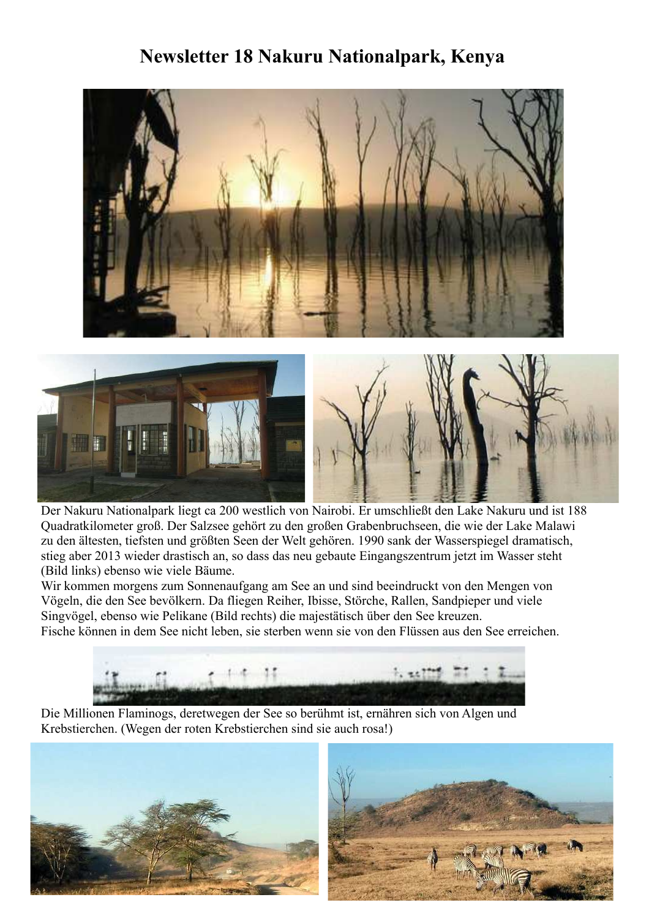## Newsletter 18 Nakuru Nationalpark, Kenya





Der Nakuru Nationalpark liegt ca 200 westlich von Nairobi. Er umschließt den Lake Nakuru und ist 188 Quadratkilometer groß. Der Salzsee gehört zu den großen Grabenbruchseen, die wie der Lake Malawi zu den ältesten, tiefsten und größten Seen der Welt gehören. 1990 sank der Wasserspiegel dramatisch, stieg aber 2013 wieder drastisch an, so dass das neu gebaute Eingangszentrum jetzt im Wasser steht (Bild links) ebenso wie viele Bäume.

Wir kommen morgens zum Sonnenaufgang am See an und sind beeindruckt von den Mengen von Vögeln, die den See bevölkern. Da fliegen Reiher, Ibisse, Störche, Rallen, Sandpieper und viele Singvögel, ebenso wie Pelikane (Bild rechts) die majestätisch über den See kreuzen. Fische können in dem See nicht leben, sie sterben wenn sie von den Flüssen aus den See erreichen.



Die Millionen Flaminogs, deretwegen der See so berühmt ist, ernähren sich von Algen und Krebstierchen. (Wegen der roten Krebstierchen sind sie auch rosa!)



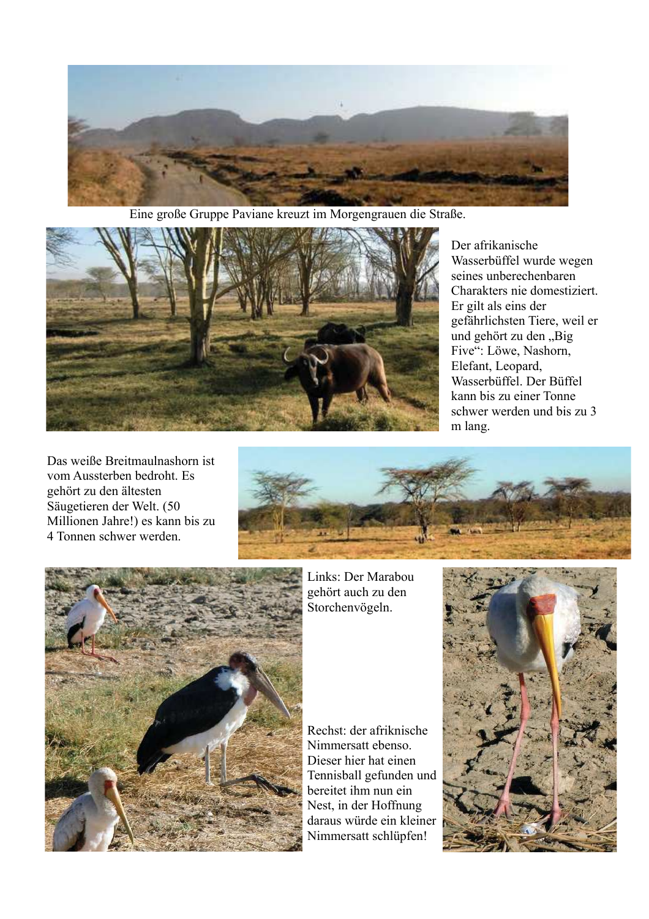

Eine große Gruppe Paviane kreuzt im Morgengrauen die Straße.



Der afrikanische Wasserbüffel wurde wegen seines unberechenbaren Charakters nie domestiziert. Er gilt als eins der gefährlichsten Tiere, weil er und gehört zu den "Big Five": Löwe, Nashorn, Elefant, Leopard, Wasserbüffel. Der Büffel kann bis zu einer Tonne schwer werden und bis zu 3 m lang.

Das weiße Breitmaulnashorn ist vom Aussterben bedroht. Es gehört zu den ältesten Säugetieren der Welt. (50 Millionen Jahre!) es kann bis zu 4 Tonnen schwer werden





Links: Der Marabou gehört auch zu den Storchenvögeln.

Rechst: der afriknische Nimmersatt ebenso. Dieser hier hat einen Tennisball gefunden und bereitet ihm nun ein Nest, in der Hoffnung daraus würde ein kleiner Nimmersatt schlüpfen!

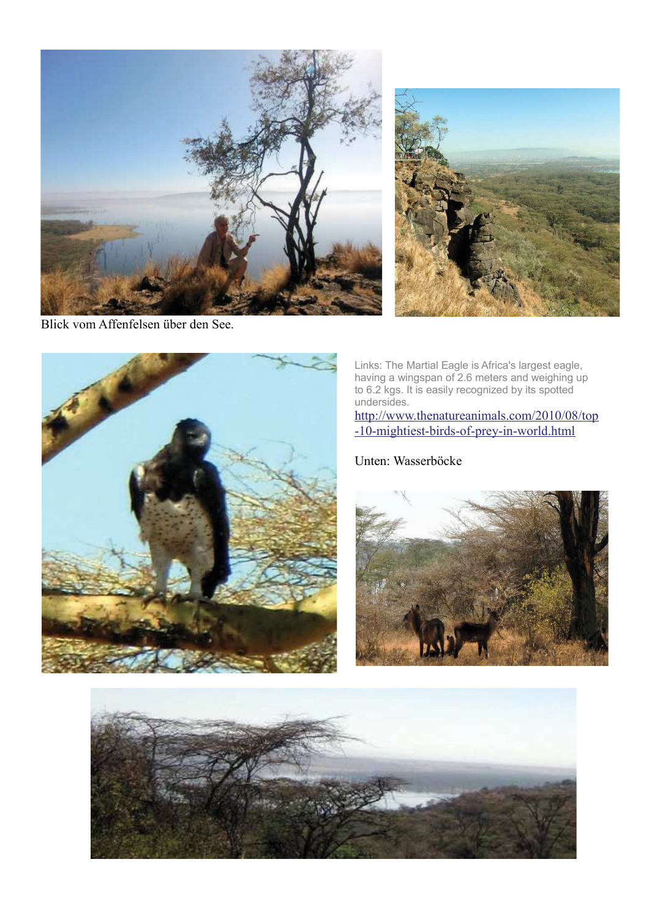





Links: The Martial Eagle is Africa's largest eagle,<br>having a wingspan of 2.6 meters and weighing up<br>to 6.2 kgs. It is easily recognized by its spotted undersides.

http://www.thenatureanimals.com/2010/08/top -10-mightiest-birds-of-prey-in-world.html

Unten: Wasserböcke



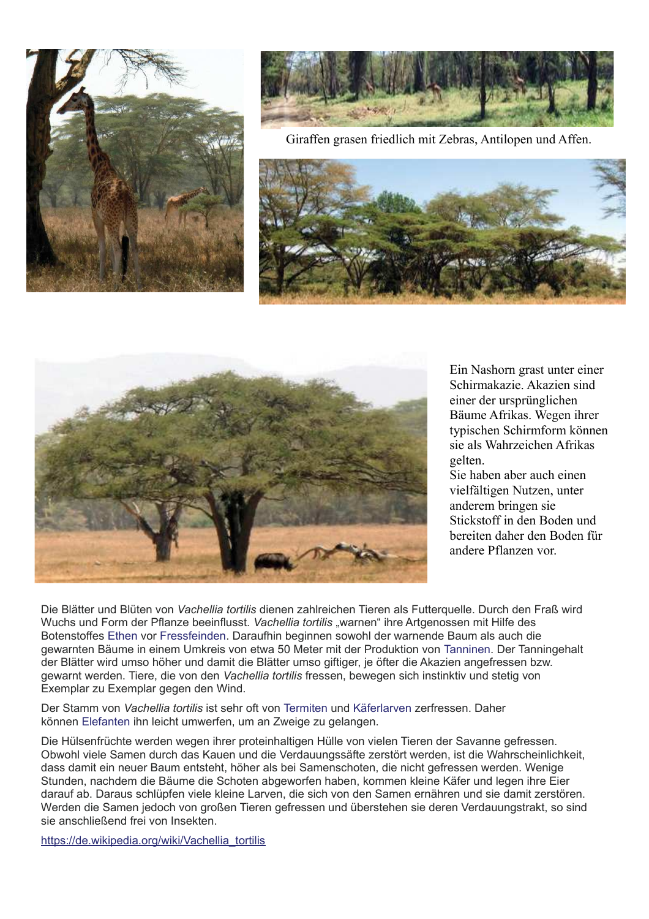



Giraffen grasen friedlich mit Zebras, Antilopen und Affen.





Ein Nashorn grast unter einer Schirmakazie. Akazien sind einer der ursprünglichen Bäume Afrikas. Wegen ihrer typischen Schirmform können sie als Wahrzeichen Afrikas gelten

Sie haben aber auch einen vielfältigen Nutzen, unter anderem bringen sie Stickstoff in den Boden und bereiten daher den Boden für andere Pflanzen vor

Die Blätter und Blüten von Vachellia tortilis dienen zahlreichen Tieren als Futterquelle. Durch den Fraß wird Wuchs und Form der Pflanze beeinflusst. Vachellia tortilis "warnen" ihre Artgenossen mit Hilfe des Botenstoffes Ethen vor Fressfeinden. Daraufhin beginnen sowohl der warnende Baum als auch die gewarnten Bäume in einem Umkreis von etwa 50 Meter mit der Produktion von Tanninen. Der Tanningehalt der Blätter wird umso höher und damit die Blätter umso giftiger, je öfter die Akazien angefressen bzw. gewarnt werden. Tiere, die von den Vachellia tortilis fressen, bewegen sich instinktiv und stetig von Exemplar zu Exemplar gegen den Wind.

Der Stamm von Vachellia tortilis ist sehr oft von Termiten und Käferlarven zerfressen. Daher können Elefanten ihn leicht umwerfen, um an Zweige zu gelangen.

Die Hülsenfrüchte werden wegen ihrer proteinhaltigen Hülle von vielen Tieren der Savanne gefressen. Obwohl viele Samen durch das Kauen und die Verdauungssäfte zerstört werden, ist die Wahrscheinlichkeit, dass damit ein neuer Baum entsteht, höher als bei Samenschoten, die nicht gefressen werden. Wenige Stunden, nachdem die Bäume die Schoten abgeworfen haben, kommen kleine Käfer und legen ihre Eier darauf ab. Daraus schlüpfen viele kleine Larven, die sich von den Samen ernähren und sie damit zerstören. Werden die Samen jedoch von großen Tieren gefressen und überstehen sie deren Verdauungstrakt, so sind sie anschließend frei von Insekten.

https://de.wikipedia.org/wiki/Vachellia tortilis